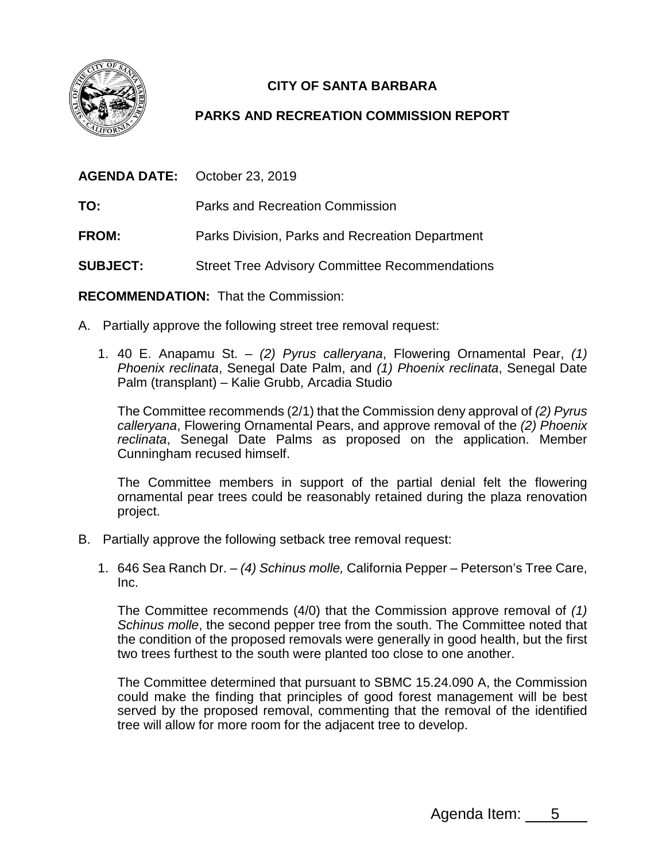

## **CITY OF SANTA BARBARA**

## **PARKS AND RECREATION COMMISSION REPORT**

**AGENDA DATE:** October 23, 2019

**TO:** Parks and Recreation Commission

**FROM:** Parks Division, Parks and Recreation Department

**SUBJECT:** Street Tree Advisory Committee Recommendations

**RECOMMENDATION:** That the Commission:

- A. Partially approve the following street tree removal request:
	- 1. 40 E. Anapamu St. *(2) Pyrus calleryana*, Flowering Ornamental Pear, *(1) Phoenix reclinata*, Senegal Date Palm, and *(1) Phoenix reclinata*, Senegal Date Palm (transplant) – Kalie Grubb, Arcadia Studio

The Committee recommends (2/1) that the Commission deny approval of *(2) Pyrus calleryana*, Flowering Ornamental Pears, and approve removal of the *(2) Phoenix reclinata*, Senegal Date Palms as proposed on the application. Member Cunningham recused himself.

The Committee members in support of the partial denial felt the flowering ornamental pear trees could be reasonably retained during the plaza renovation project.

- B. Partially approve the following setback tree removal request:
	- 1. 646 Sea Ranch Dr. *(4) Schinus molle,* California Pepper *–* Peterson's Tree Care, Inc.

The Committee recommends (4/0) that the Commission approve removal of *(1) Schinus molle*, the second pepper tree from the south. The Committee noted that the condition of the proposed removals were generally in good health, but the first two trees furthest to the south were planted too close to one another.

The Committee determined that pursuant to SBMC 15.24.090 A, the Commission could make the finding that principles of good forest management will be best served by the proposed removal, commenting that the removal of the identified tree will allow for more room for the adjacent tree to develop.

Agenda Item: 5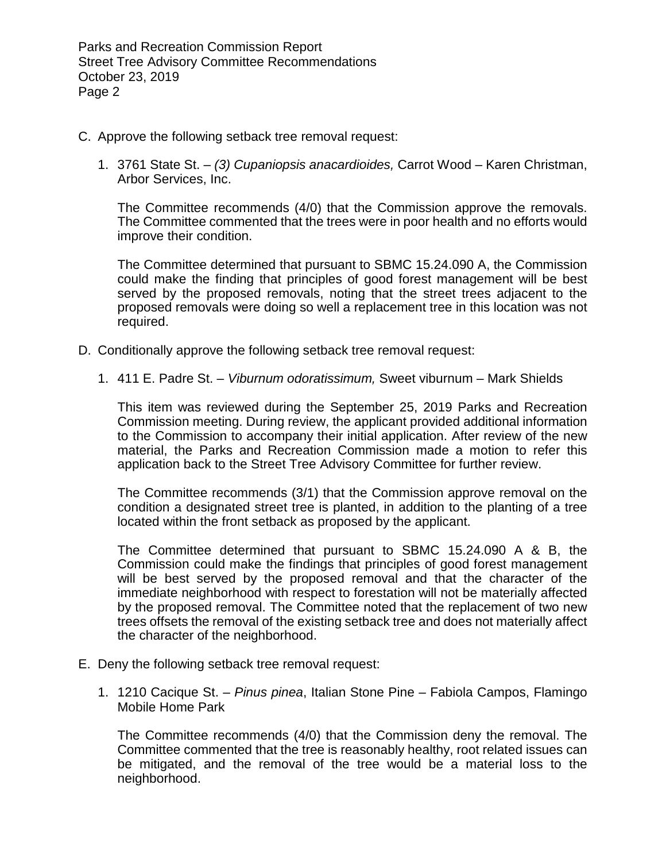Parks and Recreation Commission Report Street Tree Advisory Committee Recommendations October 23, 2019 Page 2

- C. Approve the following setback tree removal request:
	- 1. 3761 State St. *(3) Cupaniopsis anacardioides,* Carrot Wood Karen Christman, Arbor Services, Inc.

The Committee recommends (4/0) that the Commission approve the removals. The Committee commented that the trees were in poor health and no efforts would improve their condition.

The Committee determined that pursuant to SBMC 15.24.090 A, the Commission could make the finding that principles of good forest management will be best served by the proposed removals, noting that the street trees adjacent to the proposed removals were doing so well a replacement tree in this location was not required.

- D. Conditionally approve the following setback tree removal request:
	- 1. 411 E. Padre St. *Viburnum odoratissimum,* Sweet viburnum Mark Shields

This item was reviewed during the September 25, 2019 Parks and Recreation Commission meeting. During review, the applicant provided additional information to the Commission to accompany their initial application. After review of the new material, the Parks and Recreation Commission made a motion to refer this application back to the Street Tree Advisory Committee for further review.

The Committee recommends (3/1) that the Commission approve removal on the condition a designated street tree is planted, in addition to the planting of a tree located within the front setback as proposed by the applicant.

The Committee determined that pursuant to SBMC 15.24.090 A & B, the Commission could make the findings that principles of good forest management will be best served by the proposed removal and that the character of the immediate neighborhood with respect to forestation will not be materially affected by the proposed removal. The Committee noted that the replacement of two new trees offsets the removal of the existing setback tree and does not materially affect the character of the neighborhood.

- E. Deny the following setback tree removal request:
	- 1. 1210 Cacique St. *Pinus pinea*, Italian Stone Pine Fabiola Campos, Flamingo Mobile Home Park

The Committee recommends (4/0) that the Commission deny the removal. The Committee commented that the tree is reasonably healthy, root related issues can be mitigated, and the removal of the tree would be a material loss to the neighborhood.